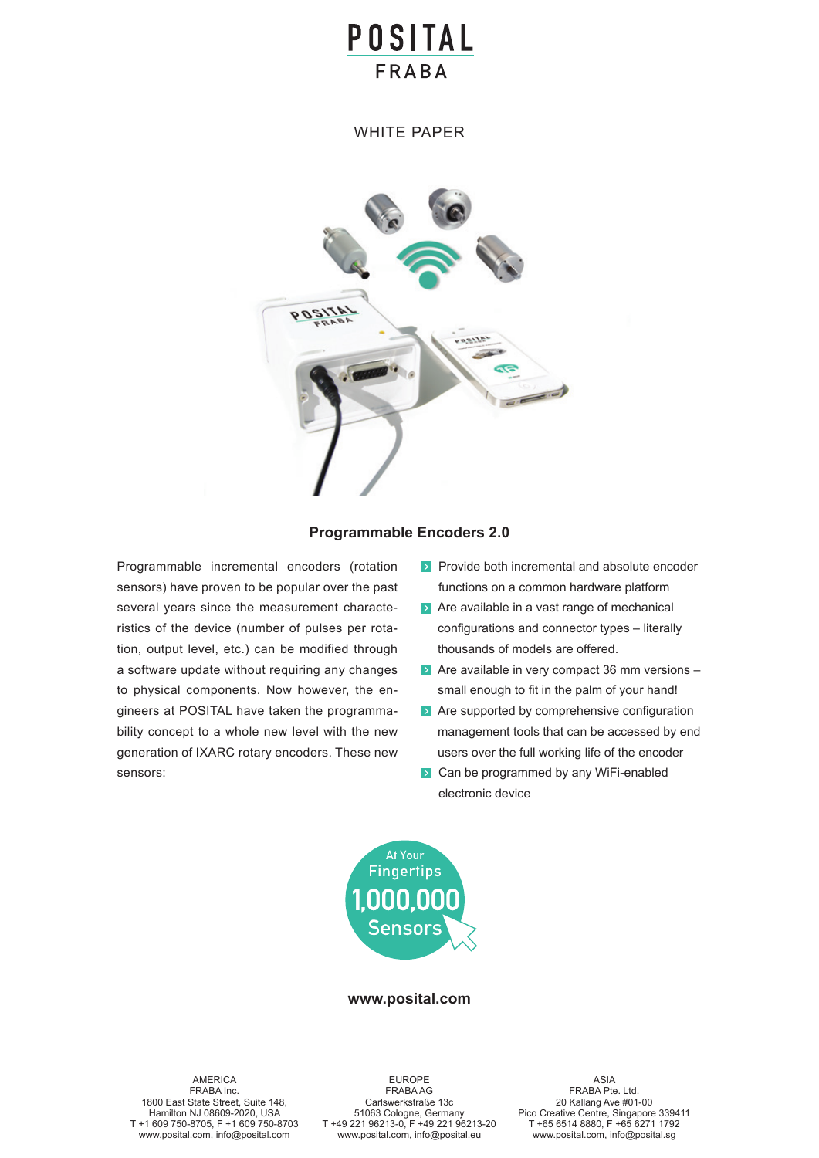# **POSITAL FRARA**

WHITE PAPER



### **Programmable Encoders 2.0**

Programmable incremental encoders (rotation sensors) have proven to be popular over the past several years since the measurement characteristics of the device (number of pulses per rotation, output level, etc.) can be modified through a software update without requiring any changes to physical components. Now however, the engineers at POSITAL have taken the programmability concept to a whole new level with the new generation of IXARC rotary encoders. These new sensors:

- **Provide both incremental and absolute encoder** functions on a common hardware platform
- $\blacktriangleright$  Are available in a vast range of mechanical configurations and connector types – literally thousands of models are offered.
- $\triangleright$  Are available in very compact 36 mm versions  $$ small enough to fit in the palm of your hand!
- **Are supported by comprehensive configuration** management tools that can be accessed by end users over the full working life of the encoder
- **EX** Can be programmed by any WiFi-enabled electronic device



### **www.posital.com**

AMERICA FRABA Inc. 1800 East State Street, Suite 148, Hamilton NJ 08609-2020, USA T +1 609 750-8705, F +1 609 750-8703 www.posital.com, info@posital.com

**ar**  $6213-0, F + 4922$ EUROPE FRABA AG Carlswerkstraße 13c 51063 Cologne, Germany T +49 221 96213-0, F +49 221 96213-20 www.posital.com, info@posital.eu

ASIA FRABA Pte. Ltd. 20 Kallang Ave #01-00 Pico Creative Centre, Singapore 339411 T +65 6514 8880, F +65 6271 1792 www.posital.com, info@posital.sg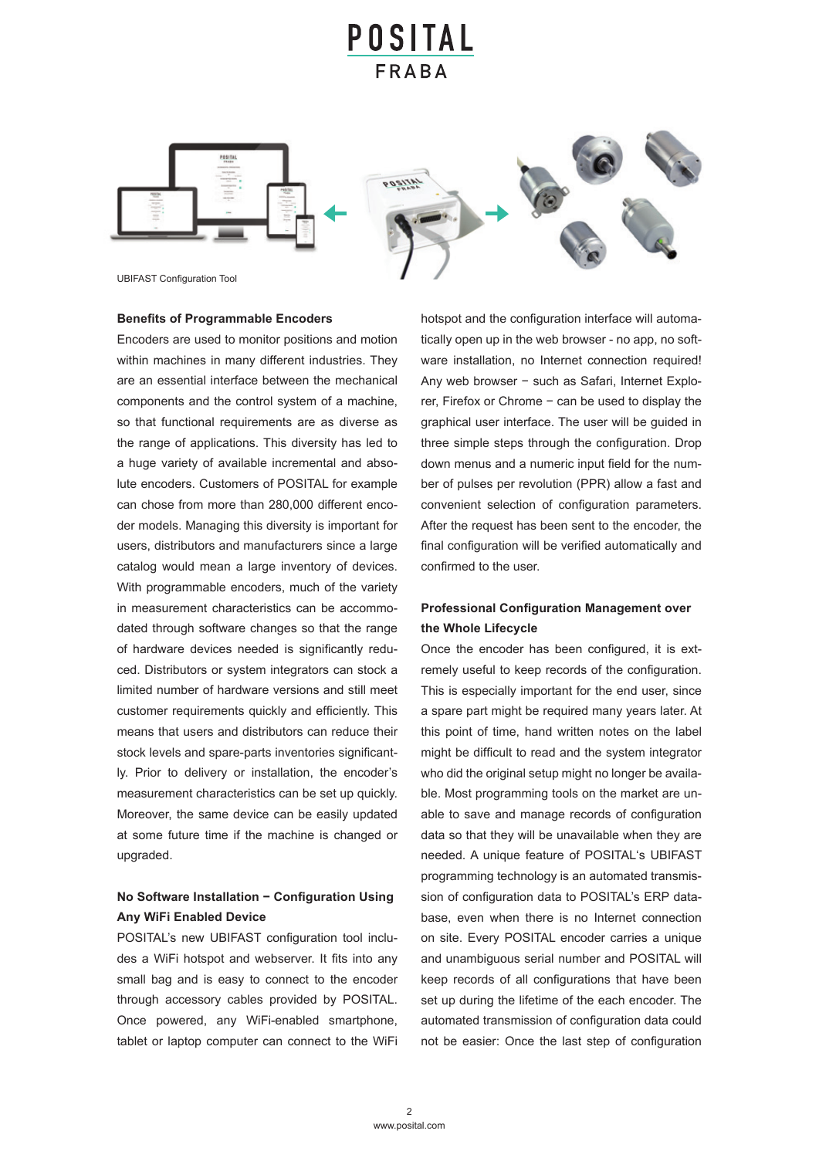# POSITAL





**UBIFAST Configuration Tool** 

### **Benefits of Programmable Encoders**

Encoders are used to monitor positions and motion within machines in many different industries. They are an essential interface between the mechanical components and the control system of a machine, so that functional requirements are as diverse as the range of applications. This diversity has led to a huge variety of available incremental and absolute encoders. Customers of POSITAL for example can chose from more than 280,000 different encoder models. Managing this diversity is important for users, distributors and manufacturers since a large catalog would mean a large inventory of devices. With programmable encoders, much of the variety in measurement characteristics can be accommodated through software changes so that the range of hardware devices needed is significantly reduced. Distributors or system integrators can stock a limited number of hardware versions and still meet customer requirements quickly and efficiently. This means that users and distributors can reduce their stock levels and spare-parts inventories significantly. Prior to delivery or installation, the encoder's measurement characteristics can be set up quickly. Moreover, the same device can be easily updated at some future time if the machine is changed or upgraded.

# No Software Installation − Configuration Using **Any WiFi Enabled Device**

POSITAL's new UBIFAST configuration tool includes a WiFi hotspot and webserver. It fits into any small bag and is easy to connect to the encoder through accessory cables provided by POSITAL. Once powered, any WiFi-enabled smartphone, tablet or laptop computer can connect to the WiFi hotspot and the configuration interface will automatically open up in the web browser - no app, no software installation, no Internet connection required! Any web browser − such as Safari, Internet Explorer, Firefox or Chrome − can be used to display the graphical user interface. The user will be guided in three simple steps through the configuration. Drop down menus and a numeric input field for the number of pulses per revolution (PPR) allow a fast and convenient selection of configuration parameters. after the request has been sent to the encoder, the final configuration will be verified automatically and confirmed to the user.

# **Professional Configuration Management over the Whole Lifecycle**

Once the encoder has been configured, it is extremely useful to keep records of the configuration. This is especially important for the end user, since a spare part might be required many years later. At this point of time, hand written notes on the label might be difficult to read and the system integrator who did the original setup might no longer be available. Most programming tools on the market are unable to save and manage records of configuration data so that they will be unavailable when they are needed. A unique feature of POSITAL's UBIFAST programming technology is an automated transmission of configuration data to POSITAL's ERP database, even when there is no internet connection on site. Every POSITAL encoder carries a unique and unambiguous serial number and POSITAL will keep records of all configurations that have been set up during the lifetime of the each encoder. The automated transmission of configuration data could not be easier: Once the last step of configuration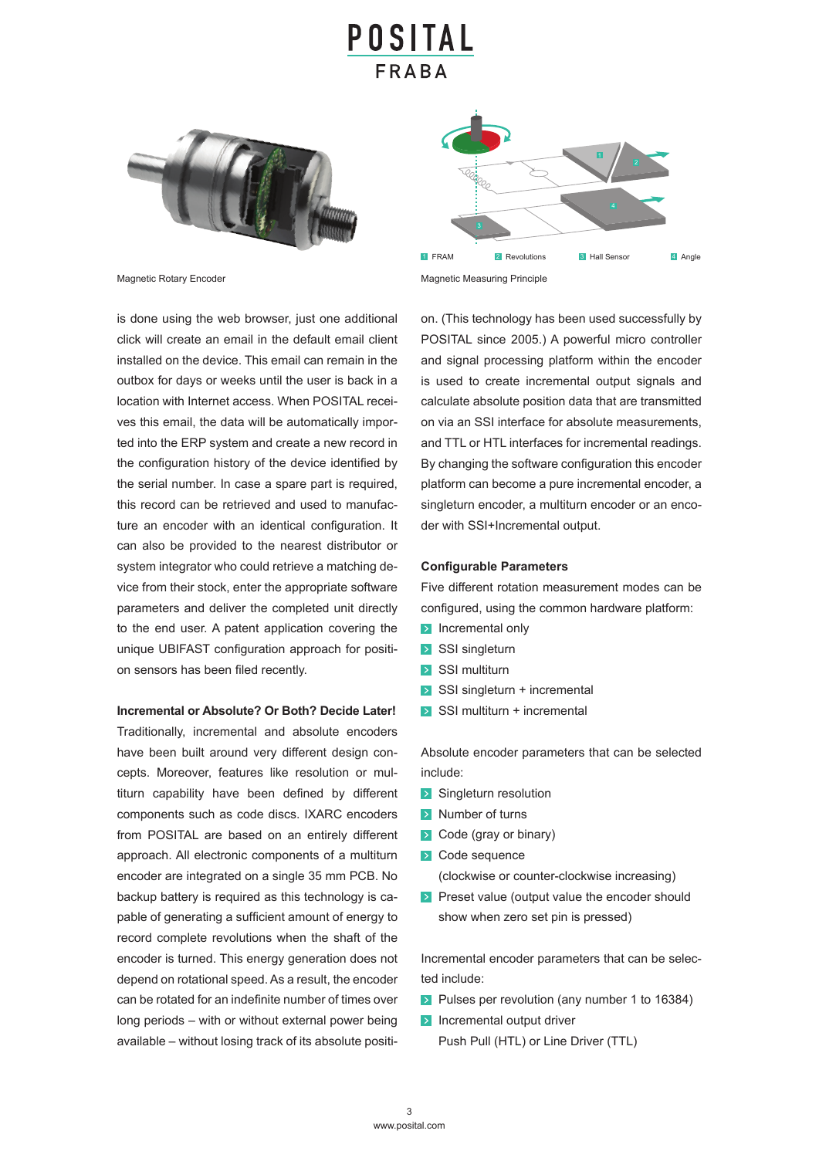# OSITAL



is done using the web browser, just one additional click will create an email in the default email client installed on the device. This email can remain in the outbox for days or weeks until the user is back in a location with Internet access. When POSITAL receives this email, the data will be automatically imported into the ERP system and create a new record in the configuration history of the device identified by the serial number. In case a spare part is required, this record can be retrieved and used to manufacture an encoder with an identical configuration. It can also be provided to the nearest distributor or system integrator who could retrieve a matching device from their stock, enter the appropriate software parameters and deliver the completed unit directly to the end user. A patent application covering the unique UBIFAST configuration approach for position sensors has been filed recently.

### **Incremental or Absolute? Or Both? Decide Later!**

Traditionally, incremental and absolute encoders have been built around very different design concepts. Moreover, features like resolution or multiturn capability have been defined by different components such as code discs. IXARC encoders from POSITAL are based on an entirely different approach. All electronic components of a multiturn encoder are integrated on a single 35 mm PCB. No backup battery is required as this technology is capable of generating a sufficient amount of energy to record complete revolutions when the shaft of the encoder is turned. This energy generation does not depend on rotational speed. As a result, the encoder can be rotated for an indefinite number of times over long periods – with or without external power being available – without losing track of its absolute positi-



Magnetic Rotary Encoder Magnetic Measuring Principle

on. (This technology has been used successfully by POSITAL since 2005.) A powerful micro controller and signal processing platform within the encoder is used to create incremental output signals and calculate absolute position data that are transmitted on via an SSI interface for absolute measurements, and TTL or HTL interfaces for incremental readings. By changing the software configuration this encoder platform can become a pure incremental encoder, a singleturn encoder, a multiturn encoder or an encoder with SSI+Incremental output.

#### **Configurable Parameters**

Five different rotation measurement modes can be configured, using the common hardware platform:

- **EX** Incremental only
- **>** SSI singleturn
- $\triangleright$  SSI multiturn
- **•** SSI singleturn + incremental
- **•** SSI multiturn + incremental

Absolute encoder parameters that can be selected include:

- **•** Singleturn resolution
- **•** Number of turns
- **•** Code (gray or binary)
- **•** Code sequence

(clockwise or counter-clockwise increasing)

**•** Preset value (output value the encoder should show when zero set pin is pressed)

Incremental encoder parameters that can be selected include:

- Pulses per revolution (any number 1 to 16384)
- $\triangleright$  Incremental output driver

Push Pull (HTL) or Line Driver (TTL)